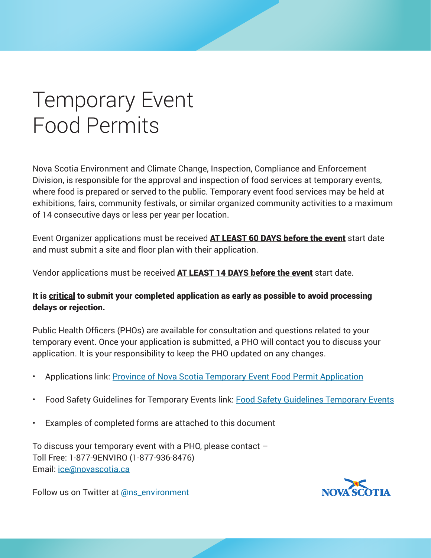### Temporary Event Food Permits

Nova Scotia Environment and Climate Change, Inspection, Compliance and Enforcement Division, is responsible for the approval and inspection of food services at temporary events, where food is prepared or served to the public. Temporary event food services may be held at exhibitions, fairs, community festivals, or similar organized community activities to a maximum of 14 consecutive days or less per year per location.

Event Organizer applications must be received **AT LEAST 60 DAYS before the event** start date and must submit a site and floor plan with their application.

Vendor applications must be received AT LEAST 14 DAYS before the event start date.

#### It is critical to submit your completed application as early as possible to avoid processing delays or rejection.

Public Health Officers (PHOs) are available for consultation and questions related to your temporary event. Once your application is submitted, a PHO will contact you to discuss your application. It is your responsibility to keep the PHO updated on any changes.

- Applications link: [Province of Nova Scotia Temporary Event Food Permit Application](https://www.novascotia.ca/nse/food-protection/docs/temporary-event-food-permit-application.pdf)
- Food Safety Guidelines for Temporary Events link: [Food Safety Guidelines Temporary Events](https://novascotia.ca/nse/food-protection/docs/Food-Safety-Guidelines-Temporary-Events.pdf)
- Examples of completed forms are attached to this document

To discuss your temporary event with a PHO, please contact – Toll Free: 1-877-9ENVIRO (1-877-936-8476) Email: [ice@novascotia.ca](mailto:ice%40novascotia.ca?subject=)

Follow us on Twitter at [@ns\\_environment](https://twitter.com/ns_environment?ref_src=twsrc%5Egoogle%7Ctwcamp%5Eserp%7Ctwgr%5Eauthor)

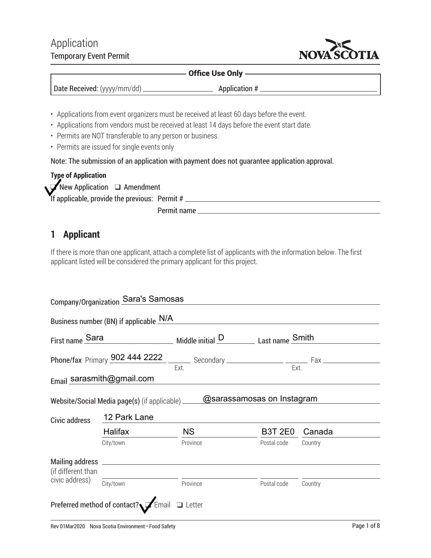#### Application Temporary Event Permit



#### Office Use Only

- Applications from event organizers must be received at least 60 days before the event.
- Applications from vendors must be received at least 14 days before the event start date.
- Permits are NOT transferable to any person or business.
- Permits are issued for single events only

Note: The submission of an application with payment does not guarantee application approval.

| <b>Type of Application</b>                      |             |
|-------------------------------------------------|-------------|
| New Application Q Amendment                     |             |
| If applicable, provide the previous: Permit $#$ |             |
|                                                 | Permit name |

#### **1 Applicant**

If there is more than one applicant, attach a complete list of applicants with the information below. The first applicant listed will be considered the primary applicant for this project.

|                    | Company/Organization Sara's Samosas          |                                                                                 |                |         |  |  |  |
|--------------------|----------------------------------------------|---------------------------------------------------------------------------------|----------------|---------|--|--|--|
|                    | Business number (BN) if applicable N/A       |                                                                                 |                |         |  |  |  |
|                    |                                              | First name Sara Middle initial D Last name Smith                                |                |         |  |  |  |
|                    |                                              |                                                                                 |                |         |  |  |  |
|                    | Email sarasmith@gmail.com                    |                                                                                 |                |         |  |  |  |
|                    |                                              | Website/Social Media page(s) (if applicable) ________@sarassamosas_on_Instagram |                |         |  |  |  |
| Civic address      | 12 Park Lane                                 |                                                                                 |                |         |  |  |  |
|                    | Halifax                                      | <b>NS</b>                                                                       | <b>B3T 2E0</b> | Canada  |  |  |  |
|                    | City/town                                    | Province                                                                        | Postal code    | Country |  |  |  |
| (if different than |                                              |                                                                                 |                |         |  |  |  |
| civic address)     | City/town                                    | Province                                                                        | Postal code    | Country |  |  |  |
|                    | Preferred method of contact? Finail □ Letter |                                                                                 |                |         |  |  |  |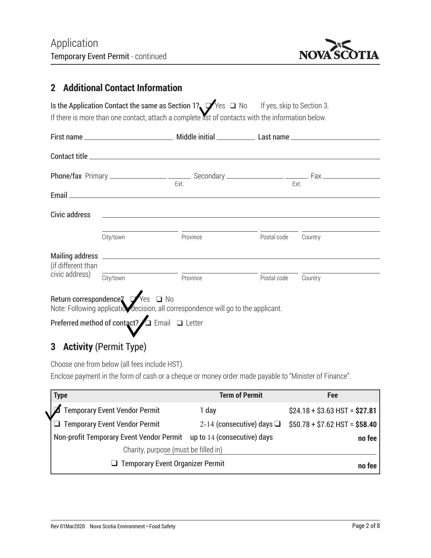

#### **2 Additional Contact Information**

| Is the Application Contact the same as Section 1? $\sqrt{V}$ es $\Box$ No                        |  | If yes, skip to Section 3. |
|--------------------------------------------------------------------------------------------------|--|----------------------------|
| If there is more than one contact, attach a complete ist of contacts with the information below. |  |                            |

|                    |           | Ext.                                                                                                                  |             | Ext.    |  |
|--------------------|-----------|-----------------------------------------------------------------------------------------------------------------------|-------------|---------|--|
|                    |           |                                                                                                                       |             |         |  |
| Civic address      |           | <u> 1989 - Andrea Andrew Maria (h. 1989).</u>                                                                         |             |         |  |
|                    | City/town | Province                                                                                                              | Postal code | Country |  |
| (if different than |           |                                                                                                                       |             |         |  |
| civic address)     |           | $\overline{\text{City/town}}$ Province                                                                                | Postal code | Country |  |
|                    |           | Return correspondence? Ves □ No<br>Note: Following applicatiov decision, all correspondence will go to the applicant. |             |         |  |
|                    |           | Preferred method of contact? $\Box$ Email $\Box$ Letter                                                               |             |         |  |

#### **3 Activity** (Permit Type)

Choose one from below (all fees include HST). Enclose payment in the form of cash or a cheque or money order made payable to "Minister of Finance".

| <b>Type</b>                                                          | <b>Term of Permit</b> | Fee                                                           |
|----------------------------------------------------------------------|-----------------------|---------------------------------------------------------------|
| <b>Temporary Event Vendor Permit</b>                                 | 1 day                 | $$24.18 + $3.63$ HST = \$27.81                                |
| $\Box$ Temporary Event Vendor Permit                                 |                       | 2-14 (consecutive) days $\Box$ \$50.78 + \$7.62 HST = \$58.40 |
| Non-profit Temporary Event Vendor Permit up to 14 (consecutive) days |                       | no fee                                                        |
| Charity, purpose (must be filled in)                                 |                       |                                                               |
| $\Box$ Temporary Event Organizer Permit                              |                       | no fee                                                        |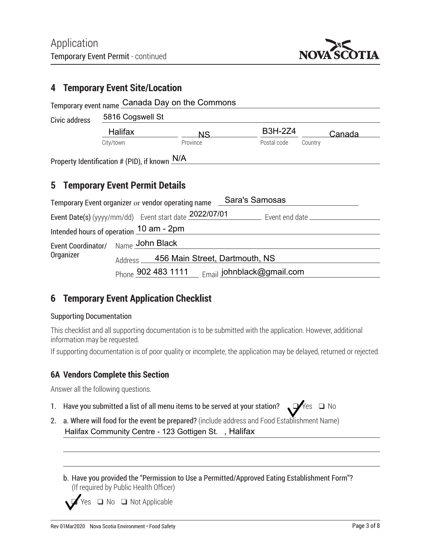

#### **4 Temporary Event Site/Location**

|                                                                            |                                                                                        | Temporary event name Canada Day on the Commons |                       |         |  |  |
|----------------------------------------------------------------------------|----------------------------------------------------------------------------------------|------------------------------------------------|-----------------------|---------|--|--|
| Civic address                                                              | 5816 Cogswell St                                                                       |                                                |                       |         |  |  |
|                                                                            | <b>Halifax</b>                                                                         | <b>NS</b>                                      | <b>B3H-2Z4</b>        | Canada  |  |  |
|                                                                            | City/town                                                                              | Province                                       | Postal code           | Country |  |  |
| 5                                                                          | Property Identification # (PID), if known N/A<br><b>Temporary Event Permit Details</b> |                                                |                       |         |  |  |
|                                                                            | Temporary Event organizer or vendor operating name                                     |                                                | <b>Sara's Samosas</b> |         |  |  |
| Event Date(s) (yyyy/mm/dd) Event start date 2022/07/01<br>Event end date _ |                                                                                        |                                                |                       |         |  |  |
|                                                                            |                                                                                        |                                                |                       |         |  |  |
|                                                                            | Intended hours of operation 10 am - 2pm                                                |                                                |                       |         |  |  |

456 Main Street, Dartmouth, NS

Phone 902 483 1111 902 483 1111 johnblack@gmail.com

#### **6 Temporary Event Application Checklist**

#### Supporting Documentation

Organizer Address

This checklist and all supporting documentation is to be submitted with the application. However, additional information may be requested.

If supporting documentation is of poor quality or incomplete, the application may be delayed, returned or rejected.

#### **6A Vendors Complete this Section**

Answer all the following questions.

- 1. Have you submitted a list of all menu items to be served at your station?  $\Box$  Yes  $\Box$  No
- 2. a. Where will food for the event be prepared? (include address and Food Establishment Name) Halifax Community Centre - 123 Gottigen St. , Halifax
	- b. Have you provided the "Permission to Use a Permitted/Approved Eating Establishment Form"? (If required by Public Health Officer)

 $\Box$  No  $\Box$  Not Applicable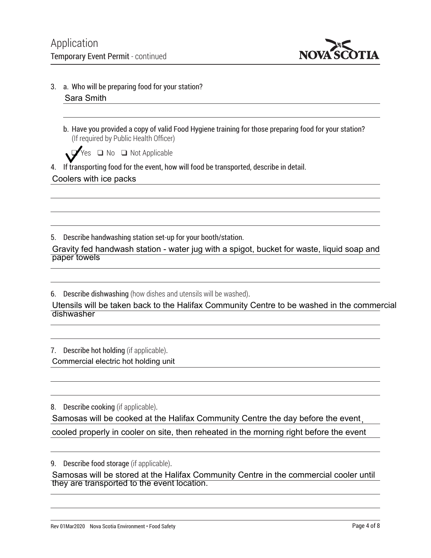

- 3. a. Who will be preparing food for your station? Sara Smith
	- b. Have you provided a copy of valid Food Hygiene training for those preparing food for your station? (If required by Public Health Officer)

 $\Box$  Yes  $\Box$  No  $\Box$  Not Applicable

4. If transporting food for the event, how will food be transported, describe in detail. Coolers with ice packs

5. Describe handwashing station set-up for your booth/station.

Gravity fed handwash station - water jug with a spigot, bucket for waste, liquid soap and paper towels

6. Describe dishwashing (how dishes and utensils will be washed).

Utensils will be taken back to the Halifax Community Centre to be washed in the commercial dishwasher

7. Describe hot holding (if applicable). Commercial electric hot holding unit

8. Describe cooking (if applicable). Samosas will be cooked at the Halifax Community Centre the day before the event , cooled properly in cooler on site, then reheated in the morning right before the event

9. Describe food storage (if applicable).

Samosas will be stored at the Halifax Community Centre in the commercial cooler until they are transported to the event location.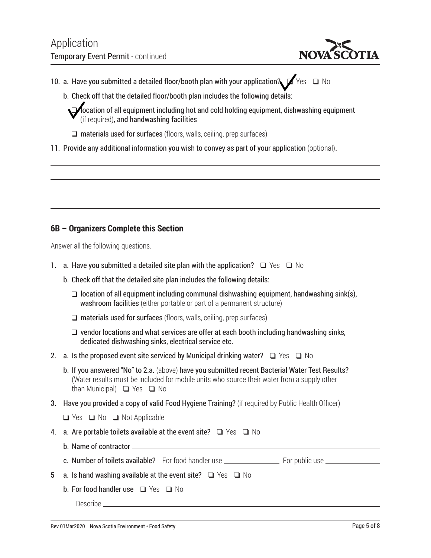

- 10. a. Have you submitted a detailed floor/booth plan with your application?  $\blacktriangleright$  Yes  $\Box$  No
	- b. Check off that the detailed floor/booth plan includes the following details:

**I** docation of all equipment including hot and cold holding equipment, dishwashing equipment (if required), and handwashing facilities

 $\Box$  materials used for surfaces (floors, walls, ceiling, prep surfaces)

11. Provide any additional information you wish to convey as part of your application (optional).

#### **6B – Organizers Complete this Section**

Answer all the following questions.

- 1. a. Have you submitted a detailed site plan with the application?  $\Box$  Yes  $\Box$  No
	- b. Check off that the detailed site plan includes the following details:
		- $\Box$  location of all equipment including communal dishwashing equipment, handwashing sink(s), washroom facilities (either portable or part of a permanent structure)
		- $\Box$  materials used for surfaces (floors, walls, ceiling, prep surfaces)
		- $\Box$  vendor locations and what services are offer at each booth including handwashing sinks, dedicated dishwashing sinks, electrical service etc.
- 2. a. Is the proposed event site serviced by Municipal drinking water?  $\Box$  Yes  $\Box$  No
	- b. If you answered "No" to 2.a. (above) have you submitted recent Bacterial Water Test Results? (Water results must be included for mobile units who source their water from a supply other than Municipal)  $\Box$  Yes  $\Box$  No
- 3. Have you provided a copy of valid Food Hygiene Training? (if required by Public Health Officer)
	- $\Box$  Yes  $\Box$  No  $\Box$  Not Applicable
- 4. a. Are portable toilets available at the event site?  $\Box$  Yes  $\Box$  No
	- b. Name of contractor
	- c. Number of toilets available? For food handler use For public use
- 5 a. Is hand washing available at the event site?  $\Box$  Yes  $\Box$  No
	- b. For food handler use  $\Box$  Yes  $\Box$  No

Describe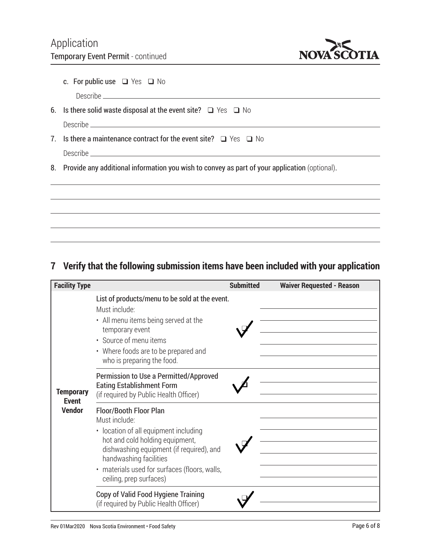

| c. For public use $\Box$ Yes $\Box$ No |  |  |  |  |
|----------------------------------------|--|--|--|--|
| <b>Describe</b>                        |  |  |  |  |

- 6. Is there solid waste disposal at the event site?  $\Box$  Yes  $\Box$  No Describe
- 7. Is there a maintenance contract for the event site?  $\Box$  Yes  $\Box$  No Describe

8. Provide any additional information you wish to convey as part of your application (optional).

#### **7 Verify that the following submission items have been included with your application**

| <b>Facility Type</b>                              |                                                                                                                                                                                                                                                                       | <b>Submitted</b> | <b>Waiver Requested - Reason</b> |
|---------------------------------------------------|-----------------------------------------------------------------------------------------------------------------------------------------------------------------------------------------------------------------------------------------------------------------------|------------------|----------------------------------|
| <b>Temporary</b><br><b>Event</b><br><b>Vendor</b> | List of products/menu to be sold at the event.<br>Must include:<br>• All menu items being served at the<br>temporary event<br>• Source of menu items<br>• Where foods are to be prepared and<br>who is preparing the food.                                            |                  |                                  |
|                                                   | Permission to Use a Permitted/Approved<br><b>Eating Establishment Form</b><br>(if required by Public Health Officer)                                                                                                                                                  |                  |                                  |
|                                                   | Floor/Booth Floor Plan<br>Must include:<br>• location of all equipment including<br>hot and cold holding equipment,<br>dishwashing equipment (if required), and<br>handwashing facilities<br>· materials used for surfaces (floors, walls,<br>ceiling, prep surfaces) |                  |                                  |
|                                                   | Copy of Valid Food Hygiene Training<br>(if required by Public Health Officer)                                                                                                                                                                                         |                  |                                  |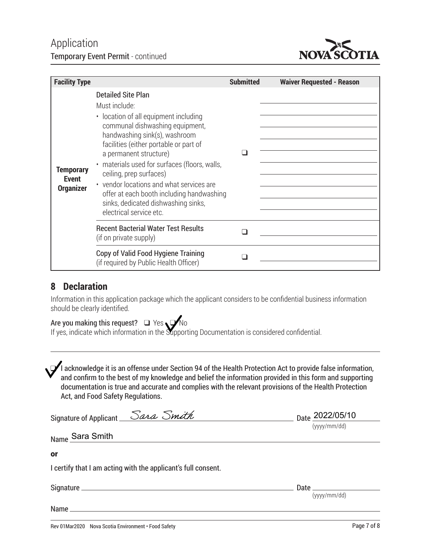

| <b>Facility Type</b>                                 |                                                                                                                                                                                                                                                                                                                                                                                                                                                                    | <b>Submitted</b> | <b>Waiver Requested - Reason</b> |
|------------------------------------------------------|--------------------------------------------------------------------------------------------------------------------------------------------------------------------------------------------------------------------------------------------------------------------------------------------------------------------------------------------------------------------------------------------------------------------------------------------------------------------|------------------|----------------------------------|
| <b>Temporary</b><br><b>Event</b><br><b>Organizer</b> | <b>Detailed Site Plan</b><br>Must include:<br>• location of all equipment including<br>communal dishwashing equipment,<br>handwashing sink(s), washroom<br>facilities (either portable or part of<br>a permanent structure)<br>· materials used for surfaces (floors, walls,<br>ceiling, prep surfaces)<br>• vendor locations and what services are<br>offer at each booth including handwashing<br>sinks, dedicated dishwashing sinks,<br>electrical service etc. |                  |                                  |
|                                                      | <b>Recent Bacterial Water Test Results</b><br>(if on private supply)                                                                                                                                                                                                                                                                                                                                                                                               |                  |                                  |
|                                                      | Copy of Valid Food Hygiene Training<br>(if required by Public Health Officer)                                                                                                                                                                                                                                                                                                                                                                                      |                  |                                  |

#### **8 Declaration**

Information in this application package which the applicant considers to be confidential business information should be clearly identified.

#### Are you making this request?  $\Box$  Yes  $\Box$  No

If yes, indicate which information in the Supporting Documentation is considered confidential.

 $\mathcal I$ l acknowledge it is an offense under Section 94 of the Health Protection Act to provide false information, and confirm to the best of my knowledge and belief the information provided in this form and supporting documentation is true and accurate and complies with the relevant provisions of the Health Protection Act, and Food Safety Regulations.

| Signature of Applicant Sara Smith                             | Date 2022/05/10                                  |
|---------------------------------------------------------------|--------------------------------------------------|
| Name Sara Smith                                               | (yyyy/mm/dd)                                     |
| or                                                            |                                                  |
| I certify that I am acting with the applicant's full consent. |                                                  |
|                                                               | Date $\_\_\_\_\_\_\_\_\_\_\_\_\_$<br>(yyy/mm/dd) |
|                                                               |                                                  |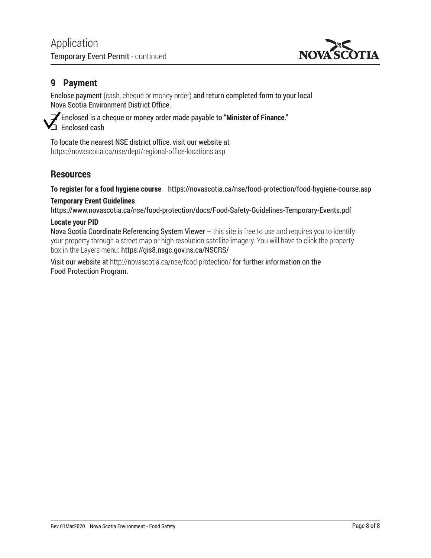

#### **9 Payment**

Enclose payment (cash, cheque or money order) and return completed form to your local Nova Scotia Environment District Office.

q Enclosed is a cheque or money order made payable to "**Minister of Finance**." Enclosed cash

To locate the nearest NSE district office, visit our website at <https://novascotia.ca/nse/dept/regional-office-locations.asp>

#### **Resources**

**To register for a food hygiene course** <https://novascotia.ca/nse/food-protection/food-hygiene-course.asp>

#### **Temporary Event Guidelines**

<https://www.novascotia.ca/nse/food-protection/docs/Food-Safety-Guidelines-Temporary-Events.pdf>

#### **Locate your PID**

Nova Scotia Coordinate Referencing System Viewer  $-$  this site is free to use and requires you to identify your property through a street map or high resolution satellite imagery. You will have to click the property box in the Layers menu:<https://gis8.nsgc.gov.ns.ca/NSCRS/>

Visit our website at <http://novascotia.ca/nse/food-protection/> for further information on the Food Protection Program.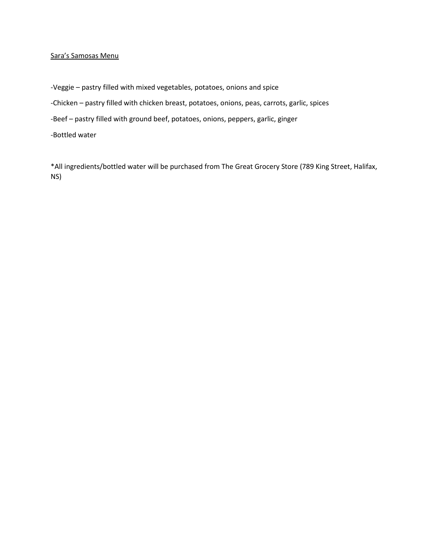#### Sara's Samosas Menu

-Veggie – pastry filled with mixed vegetables, potatoes, onions and spice

-Chicken – pastry filled with chicken breast, potatoes, onions, peas, carrots, garlic, spices

-Beef – pastry filled with ground beef, potatoes, onions, peppers, garlic, ginger

-Bottled water

\*All ingredients/bottled water will be purchased from The Great Grocery Store (789 King Street, Halifax, NS)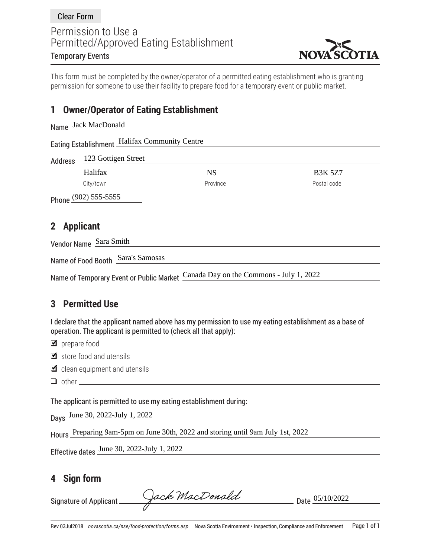

This form must be completed by the owner/operator of a permitted eating establishment who is granting permission for someone to use their facility to prepare food for a temporary event or public market.

#### **1 Owner/Operator of Eating Establishment**

|                                  | Name Jack MacDonald                           |           |                |  |  |  |  |  |
|----------------------------------|-----------------------------------------------|-----------|----------------|--|--|--|--|--|
|                                  | Eating Establishment Halifax Community Centre |           |                |  |  |  |  |  |
| <b>Address</b>                   |                                               |           |                |  |  |  |  |  |
|                                  | Halifax                                       | <b>NS</b> | <b>B3K 5Z7</b> |  |  |  |  |  |
|                                  | City/town                                     | Province  | Postal code    |  |  |  |  |  |
|                                  | Phone (902) 555-5555                          |           |                |  |  |  |  |  |
| <b>Applicant</b><br>$\mathbf{2}$ |                                               |           |                |  |  |  |  |  |
| Vendor Name Sara Smith           |                                               |           |                |  |  |  |  |  |
|                                  | Sara's Samosas<br>Name of Food Booth          |           |                |  |  |  |  |  |

Name of Temporary Event or Public Market Canada Day on the Commons - July 1, 2022

#### **3 Permitted Use**

I declare that the applicant named above has my permission to use my eating establishment as a base of operation. The applicant is permitted to (check all that apply):

g prepare food

- $\blacksquare$  store food and utensils
- $\blacksquare$  clean equipment and utensils
- $\Box$  other  $\_\_\_\_\_\_\_\_\_\_\_\_\_\_\_\_\_\_\_\_\_\_$

The applicant is permitted to use my eating establishment during:

Days June 30, 2022-July 1, 2022

Hours Preparing 9am-5pm on June 30th, 2022 and storing until 9am July 1st, 2022

Effective dates June 30, 2022-July 1, 2022

#### **4 Sign form**

Signature of Applicant Cack MacDonald Date  $05/10/2022$